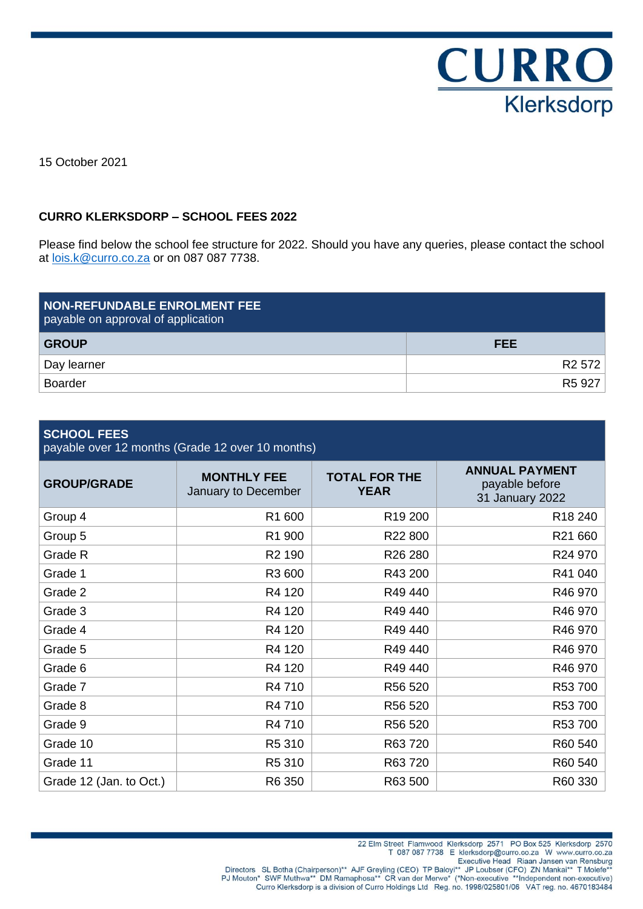

15 October 2021

### **CURRO KLERKSDORP – SCHOOL FEES 2022**

Please find below the school fee structure for 2022. Should you have any queries, please contact the school at [lois.k@curro.co.za](mailto:lois.k@curro.co.za) or on 087 087 7738.

| <b>NON-REFUNDABLE ENROLMENT FEE</b><br>payable on approval of application |                    |
|---------------------------------------------------------------------------|--------------------|
| <b>GROUP</b>                                                              | <b>FEE</b>         |
| Day learner                                                               | R <sub>2</sub> 572 |
| <b>Boarder</b>                                                            | R <sub>5</sub> 927 |

### **SCHOOL FEES**

payable over 12 months (Grade 12 over 10 months)

| <b>GROUP/GRADE</b>      | <b>MONTHLY FEE</b><br>January to December | <b>TOTAL FOR THE</b><br><b>YEAR</b> | <b>ANNUAL PAYMENT</b><br>payable before<br>31 January 2022 |
|-------------------------|-------------------------------------------|-------------------------------------|------------------------------------------------------------|
| Group 4                 | R1 600                                    | R <sub>19</sub> 200                 | R <sub>18</sub> 240                                        |
| Group 5                 | R1 900                                    | R22 800                             | R21 660                                                    |
| Grade R                 | R <sub>2</sub> 190                        | R <sub>26</sub> 280                 | R24 970                                                    |
| Grade 1                 | R3 600                                    | R43 200                             | R41 040                                                    |
| Grade 2                 | R4 120                                    | R49 440                             | R46 970                                                    |
| Grade 3                 | R4 120                                    | R49 440                             | R46 970                                                    |
| Grade 4                 | R4 120                                    | R49 440                             | R46 970                                                    |
| Grade 5                 | R4 120                                    | R49 440                             | R46 970                                                    |
| Grade 6                 | R4 120                                    | R49 440                             | R46 970                                                    |
| Grade 7                 | R4 710                                    | R56 520                             | R53 700                                                    |
| Grade 8                 | R4 710                                    | R56 520                             | R53 700                                                    |
| Grade 9                 | R4 710                                    | R56 520                             | R53 700                                                    |
| Grade 10                | R5 310                                    | R63 720                             | R60 540                                                    |
| Grade 11                | R5 310                                    | R63 720                             | R60 540                                                    |
| Grade 12 (Jan. to Oct.) | R6 350                                    | R63 500                             | R60 330                                                    |

22 Elm Street Flamwood Klerksdorp 2571 PO Box 525 Klerksdorp 2570<br>T 087 087 7738 E klerksdorp@curro.co.za W www.curro.co.za

I 087 087 7738 E klerksdorp@curro.co.za W www.curro.co.za<br>Executive Head Riaan Jansen van Rensburg<br>Executive Head Riaan Jansen van Rensburg<br>PJ Mouton\* SWF Muthwa\*\* DM Ramaphosa\*\* CR van der Merwe\* (\*Non-executive \*\*Indepen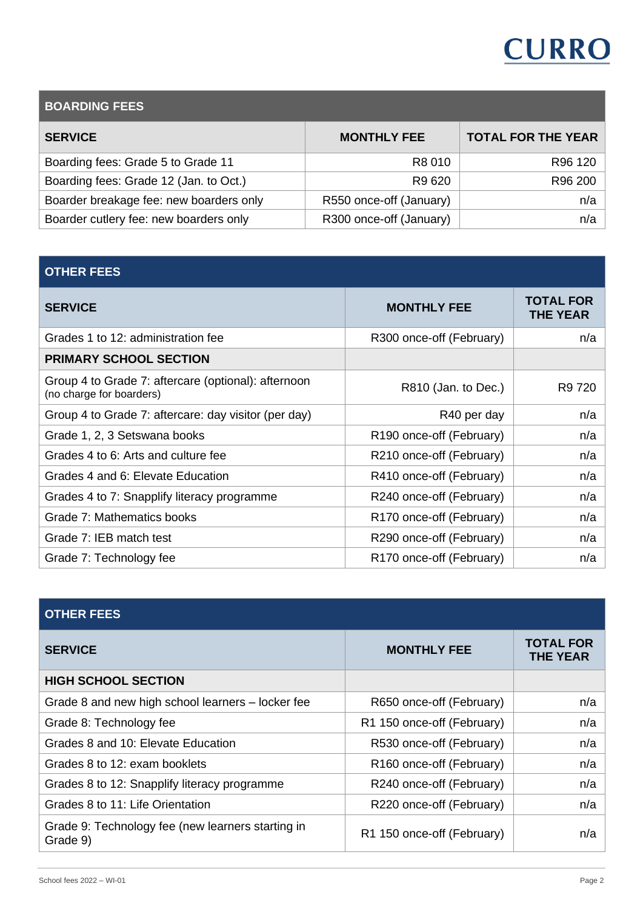# **CURRO**

| <b>BOARDING FEES</b>                    |                         |                           |  |
|-----------------------------------------|-------------------------|---------------------------|--|
| <b>SERVICE</b>                          | <b>MONTHLY FEE</b>      | <b>TOTAL FOR THE YEAR</b> |  |
| Boarding fees: Grade 5 to Grade 11      | R8 010                  | R <sub>96</sub> 120       |  |
| Boarding fees: Grade 12 (Jan. to Oct.)  | R9 620                  | R96 200                   |  |
| Boarder breakage fee: new boarders only | R550 once-off (January) | n/a                       |  |
| Boarder cutlery fee: new boarders only  | R300 once-off (January) | n/a                       |  |
|                                         |                         |                           |  |

# **OTHER FEES**

| <b>SERVICE</b>                                                                  | <b>MONTHLY FEE</b>       | <b>TOTAL FOR</b><br><b>THE YEAR</b> |
|---------------------------------------------------------------------------------|--------------------------|-------------------------------------|
| Grades 1 to 12: administration fee                                              | R300 once-off (February) | n/a                                 |
| <b>PRIMARY SCHOOL SECTION</b>                                                   |                          |                                     |
| Group 4 to Grade 7: aftercare (optional): afternoon<br>(no charge for boarders) | R810 (Jan. to Dec.)      | R9 720                              |
| Group 4 to Grade 7: aftercare: day visitor (per day)                            | R40 per day              | n/a                                 |
| Grade 1, 2, 3 Setswana books                                                    | R190 once-off (February) | n/a                                 |
| Grades 4 to 6: Arts and culture fee                                             | R210 once-off (February) | n/a                                 |
| Grades 4 and 6: Elevate Education                                               | R410 once-off (February) | n/a                                 |
| Grades 4 to 7: Snapplify literacy programme                                     | R240 once-off (February) | n/a                                 |
| Grade 7: Mathematics books                                                      | R170 once-off (February) | n/a                                 |
| Grade 7: IEB match test                                                         | R290 once-off (February) | n/a                                 |
| Grade 7: Technology fee                                                         | R170 once-off (February) | n/a                                 |

| <b>OTHER FEES</b>                                             |                                      |                                     |
|---------------------------------------------------------------|--------------------------------------|-------------------------------------|
| <b>SERVICE</b>                                                | <b>MONTHLY FEE</b>                   | <b>TOTAL FOR</b><br><b>THE YEAR</b> |
| <b>HIGH SCHOOL SECTION</b>                                    |                                      |                                     |
| Grade 8 and new high school learners – locker fee             | R650 once-off (February)             | n/a                                 |
| Grade 8: Technology fee                                       | R1 150 once-off (February)           | n/a                                 |
| Grades 8 and 10: Elevate Education                            | R530 once-off (February)             | n/a                                 |
| Grades 8 to 12: exam booklets                                 | R <sub>160</sub> once-off (February) | n/a                                 |
| Grades 8 to 12: Snapplify literacy programme                  | R240 once-off (February)             | n/a                                 |
| Grades 8 to 11: Life Orientation                              | R220 once-off (February)             | n/a                                 |
| Grade 9: Technology fee (new learners starting in<br>Grade 9) | R1 150 once-off (February)           | n/a                                 |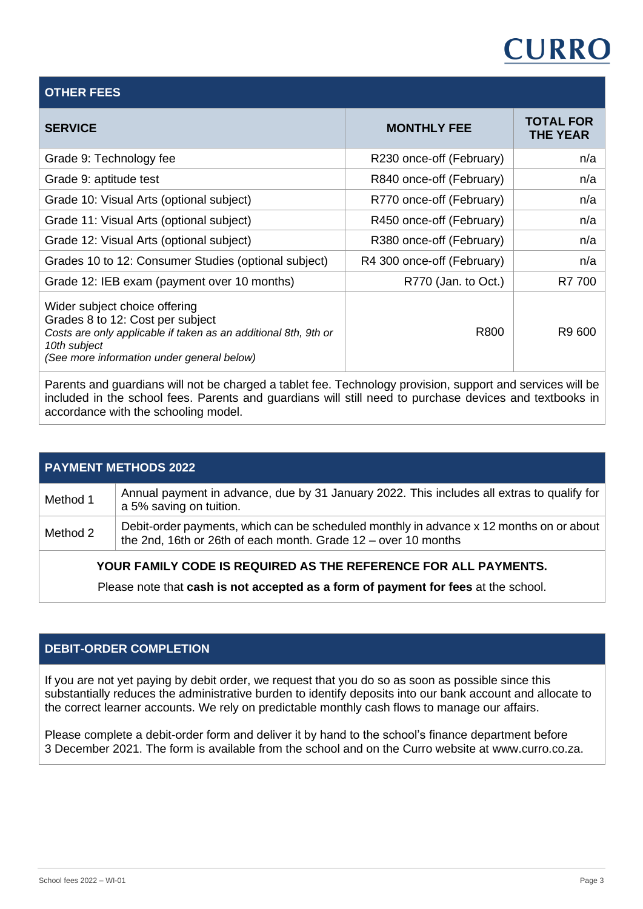# **CURRO**

### **OTHER FEES**

| <b>SERVICE</b>                                                                                                                                                                                     | <b>MONTHLY FEE</b>         | <b>TOTAL FOR</b><br><b>THE YEAR</b> |
|----------------------------------------------------------------------------------------------------------------------------------------------------------------------------------------------------|----------------------------|-------------------------------------|
| Grade 9: Technology fee                                                                                                                                                                            | R230 once-off (February)   | n/a                                 |
| Grade 9: aptitude test                                                                                                                                                                             | R840 once-off (February)   | n/a                                 |
| Grade 10: Visual Arts (optional subject)                                                                                                                                                           | R770 once-off (February)   | n/a                                 |
| Grade 11: Visual Arts (optional subject)                                                                                                                                                           | R450 once-off (February)   | n/a                                 |
| Grade 12: Visual Arts (optional subject)                                                                                                                                                           | R380 once-off (February)   | n/a                                 |
| Grades 10 to 12: Consumer Studies (optional subject)                                                                                                                                               | R4 300 once-off (February) | n/a                                 |
| Grade 12: IEB exam (payment over 10 months)                                                                                                                                                        | R770 (Jan. to Oct.)        | R7 700                              |
| Wider subject choice offering<br>Grades 8 to 12: Cost per subject<br>Costs are only applicable if taken as an additional 8th, 9th or<br>10th subject<br>(See more information under general below) | R800                       | R9 600                              |

Parents and guardians will not be charged a tablet fee. Technology provision, support and services will be included in the school fees. Parents and guardians will still need to purchase devices and textbooks in accordance with the schooling model.

| <b>PAYMENT METHODS 2022</b> |                                                                                                                                                             |  |
|-----------------------------|-------------------------------------------------------------------------------------------------------------------------------------------------------------|--|
| Method 1                    | Annual payment in advance, due by 31 January 2022. This includes all extras to qualify for<br>a 5% saving on tuition.                                       |  |
| Method 2                    | Debit-order payments, which can be scheduled monthly in advance x 12 months on or about<br>the 2nd, 16th or 26th of each month. Grade $12 -$ over 10 months |  |

# **YOUR FAMILY CODE IS REQUIRED AS THE REFERENCE FOR ALL PAYMENTS.**

Please note that **cash is not accepted as a form of payment for fees** at the school.

# **DEBIT-ORDER COMPLETION**

If you are not yet paying by debit order, we request that you do so as soon as possible since this substantially reduces the administrative burden to identify deposits into our bank account and allocate to the correct learner accounts. We rely on predictable monthly cash flows to manage our affairs.

Please complete a debit-order form and deliver it by hand to the school's finance department before 3 December 2021. The form is available from the school and on the Curro website at www.curro.co.za.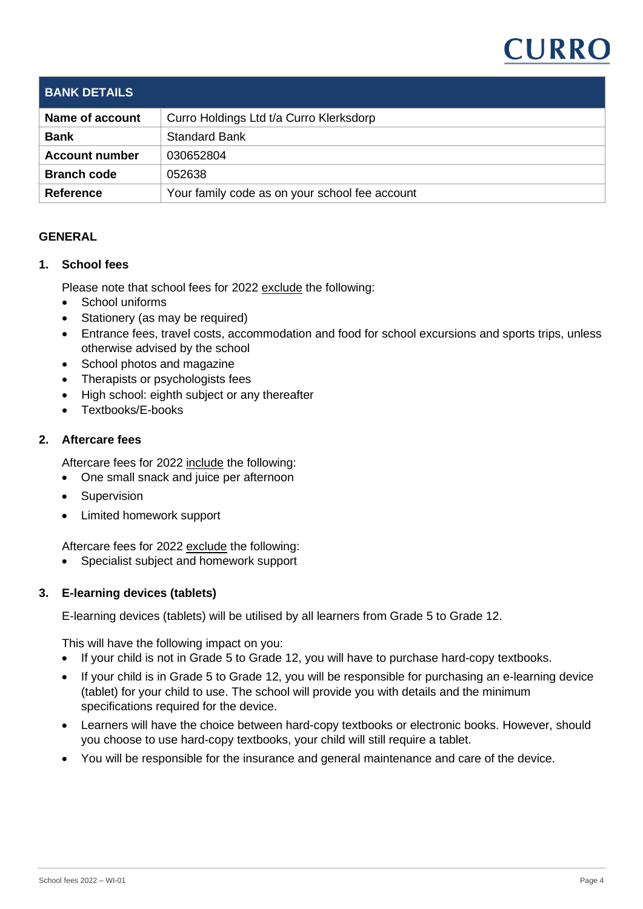# **CURRC**

| <b>BANK DETAILS</b>   |                                                |
|-----------------------|------------------------------------------------|
| Name of account       | Curro Holdings Ltd t/a Curro Klerksdorp        |
| <b>Bank</b>           | <b>Standard Bank</b>                           |
| <b>Account number</b> | 030652804                                      |
| <b>Branch code</b>    | 052638                                         |
| <b>Reference</b>      | Your family code as on your school fee account |

# **GENERAL**

### **1. School fees**

Please note that school fees for 2022 exclude the following:

- School uniforms
- Stationery (as may be required)
- Entrance fees, travel costs, accommodation and food for school excursions and sports trips, unless otherwise advised by the school
- School photos and magazine
- Therapists or psychologists fees
- High school: eighth subject or any thereafter
- Textbooks/E-books

### **2. Aftercare fees**

Aftercare fees for 2022 include the following:

- One small snack and juice per afternoon
- **Supervision**
- Limited homework support

Aftercare fees for 2022 exclude the following:

• Specialist subject and homework support

# **3. E-learning devices (tablets)**

E-learning devices (tablets) will be utilised by all learners from Grade 5 to Grade 12.

This will have the following impact on you:

- If your child is not in Grade 5 to Grade 12, you will have to purchase hard-copy textbooks.
- If your child is in Grade 5 to Grade 12, you will be responsible for purchasing an e-learning device (tablet) for your child to use. The school will provide you with details and the minimum specifications required for the device.
- Learners will have the choice between hard-copy textbooks or electronic books. However, should you choose to use hard-copy textbooks, your child will still require a tablet.
- You will be responsible for the insurance and general maintenance and care of the device.